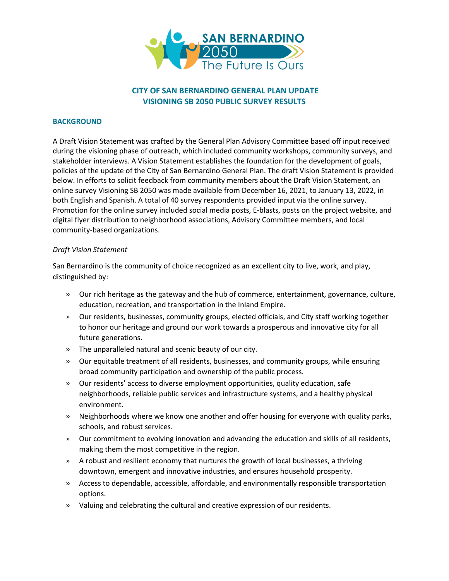

# **CITY OF SAN BERNARDINO GENERAL PLAN UPDATE VISIONING SB 2050 PUBLIC SURVEY RESULTS**

## **BACKGROUND**

A Draft Vision Statement was crafted by the General Plan Advisory Committee based off input received during the visioning phase of outreach, which included community workshops, community surveys, and stakeholder interviews. A Vision Statement establishes the foundation for the development of goals, policies of the update of the City of San Bernardino General Plan. The draft Vision Statement is provided below. In efforts to solicit feedback from community members about the Draft Vision Statement, an online survey Visioning SB 2050 was made available from December 16, 2021, to January 13, 2022, in both English and Spanish. A total of 40 survey respondents provided input via the online survey. Promotion for the online survey included social media posts, E-blasts, posts on the project website, and digital flyer distribution to neighborhood associations, Advisory Committee members, and local community-based organizations.

## *Draft Vision Statement*

San Bernardino is the community of choice recognized as an excellent city to live, work, and play, distinguished by:

- » Our rich heritage as the gateway and the hub of commerce, entertainment, governance, culture, education, recreation, and transportation in the Inland Empire.
- » Our residents, businesses, community groups, elected officials, and City staff working together to honor our heritage and ground our work towards a prosperous and innovative city for all future generations.
- » The unparalleled natural and scenic beauty of our city.
- » Our equitable treatment of all residents, businesses, and community groups, while ensuring broad community participation and ownership of the public process.
- » Our residents' access to diverse employment opportunities, quality education, safe neighborhoods, reliable public services and infrastructure systems, and a healthy physical environment.
- » Neighborhoods where we know one another and offer housing for everyone with quality parks, schools, and robust services.
- » Our commitment to evolving innovation and advancing the education and skills of all residents, making them the most competitive in the region.
- » A robust and resilient economy that nurtures the growth of local businesses, a thriving downtown, emergent and innovative industries, and ensures household prosperity.
- » Access to dependable, accessible, affordable, and environmentally responsible transportation options.
- » Valuing and celebrating the cultural and creative expression of our residents.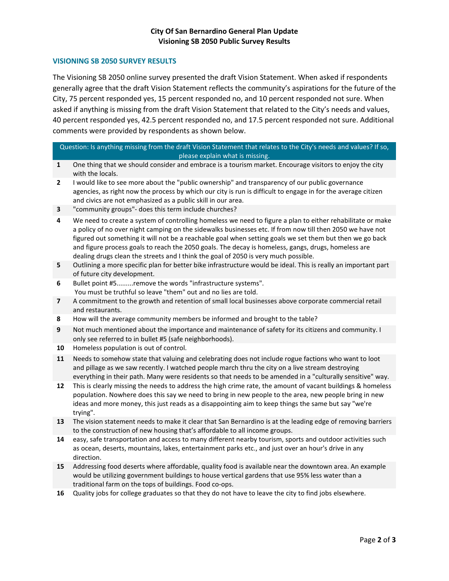# **City Of San Bernardino General Plan Update Visioning SB 2050 Public Survey Results**

### **VISIONING SB 2050 SURVEY RESULTS**

The Visioning SB 2050 online survey presented the draft Vision Statement. When asked if respondents generally agree that the draft Vision Statement reflects the community's aspirations for the future of the City, 75 percent responded yes, 15 percent responded no, and 10 percent responded not sure. When asked if anything is missing from the draft Vision Statement that related to the City's needs and values, 40 percent responded yes, 42.5 percent responded no, and 17.5 percent responded not sure. Additional comments were provided by respondents as shown below.

#### Question: Is anything missing from the draft Vision Statement that relates to the City's needs and values? If so, please explain what is missing.

- **1** One thing that we should consider and embrace is a tourism market. Encourage visitors to enjoy the city with the locals.
- **2** I would like to see more about the "public ownership" and transparency of our public governance agencies, as right now the process by which our city is run is difficult to engage in for the average citizen and civics are not emphasized as a public skill in our area.
- **3** "community groups"- does this term include churches?
- **4** We need to create a system of controlling homeless we need to figure a plan to either rehabilitate or make a policy of no over night camping on the sidewalks businesses etc. If from now till then 2050 we have not figured out something it will not be a reachable goal when setting goals we set them but then we go back and figure process goals to reach the 2050 goals. The decay is homeless, gangs, drugs, homeless are dealing drugs clean the streets and I think the goal of 2050 is very much possible.
- **5** Outlining a more specific plan for better bike infrastructure would be ideal. This is really an important part of future city development.
- **6** Bullet point #5.........remove the words "infrastructure systems". You must be truthful so leave "them" out and no lies are told.
- **7** A commitment to the growth and retention of small local businesses above corporate commercial retail and restaurants.
- **8** How will the average community members be informed and brought to the table?
- **9** Not much mentioned about the importance and maintenance of safety for its citizens and community. I only see referred to in bullet #5 (safe neighborhoods).
- **10** Homeless population is out of control.
- **11** Needs to somehow state that valuing and celebrating does not include rogue factions who want to loot and pillage as we saw recently. I watched people march thru the city on a live stream destroying everything in their path. Many were residents so that needs to be amended in a "culturally sensitive" way.
- **12** This is clearly missing the needs to address the high crime rate, the amount of vacant buildings & homeless population. Nowhere does this say we need to bring in new people to the area, new people bring in new ideas and more money, this just reads as a disappointing aim to keep things the same but say "we're trying".
- **13** The vision statement needs to make it clear that San Bernardino is at the leading edge of removing barriers to the construction of new housing that's affordable to all income groups.
- **14** easy, safe transportation and access to many different nearby tourism, sports and outdoor activities such as ocean, deserts, mountains, lakes, entertainment parks etc., and just over an hour's drive in any direction.
- **15** Addressing food deserts where affordable, quality food is available near the downtown area. An example would be utilizing government buildings to house vertical gardens that use 95% less water than a traditional farm on the tops of buildings. Food co-ops.
- **16** Quality jobs for college graduates so that they do not have to leave the city to find jobs elsewhere.